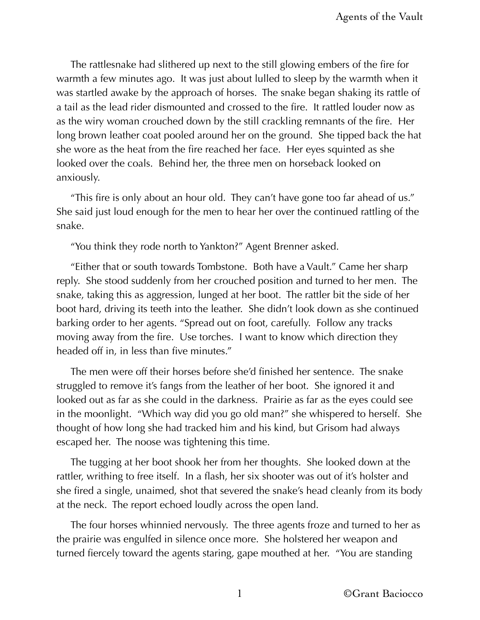The rattlesnake had slithered up next to the still glowing embers of the fire for warmth a few minutes ago. It was just about lulled to sleep by the warmth when it was startled awake by the approach of horses. The snake began shaking its rattle of a tail as the lead rider dismounted and crossed to the fire. It rattled louder now as as the wiry woman crouched down by the still crackling remnants of the fire. Her long brown leather coat pooled around her on the ground. She tipped back the hat she wore as the heat from the fire reached her face. Her eyes squinted as she looked over the coals. Behind her, the three men on horseback looked on anxiously.

"This fire is only about an hour old. They can't have gone too far ahead of us." She said just loud enough for the men to hear her over the continued rattling of the snake.

"You think they rode north to Yankton?" Agent Brenner asked.

"Either that or south towards Tombstone. Both have a Vault." Came her sharp reply. She stood suddenly from her crouched position and turned to her men. The snake, taking this as aggression, lunged at her boot. The rattler bit the side of her boot hard, driving its teeth into the leather. She didn't look down as she continued barking order to her agents. "Spread out on foot, carefully. Follow any tracks moving away from the fire. Use torches. I want to know which direction they headed off in, in less than five minutes."

The men were off their horses before she'd finished her sentence. The snake struggled to remove it's fangs from the leather of her boot. She ignored it and looked out as far as she could in the darkness. Prairie as far as the eyes could see in the moonlight. "Which way did you go old man?" she whispered to herself. She thought of how long she had tracked him and his kind, but Grisom had always escaped her. The noose was tightening this time.

The tugging at her boot shook her from her thoughts. She looked down at the rattler, writhing to free itself. In a flash, her six shooter was out of it's holster and she fired a single, unaimed, shot that severed the snake's head cleanly from its body at the neck. The report echoed loudly across the open land.

The four horses whinnied nervously. The three agents froze and turned to her as the prairie was engulfed in silence once more. She holstered her weapon and turned fiercely toward the agents staring, gape mouthed at her. "You are standing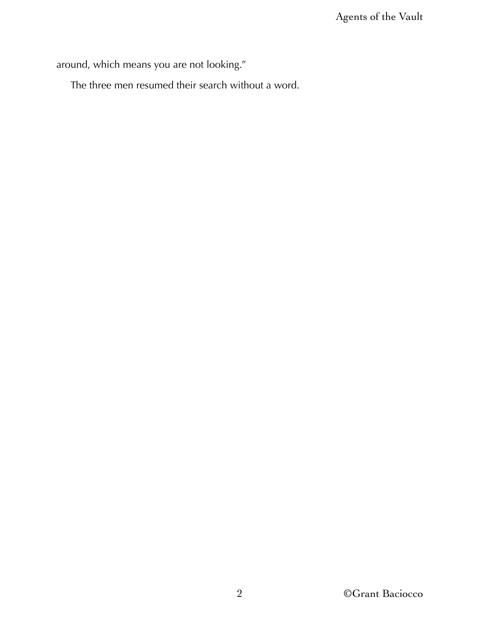around, which means you are not looking."

The three men resumed their search without a word.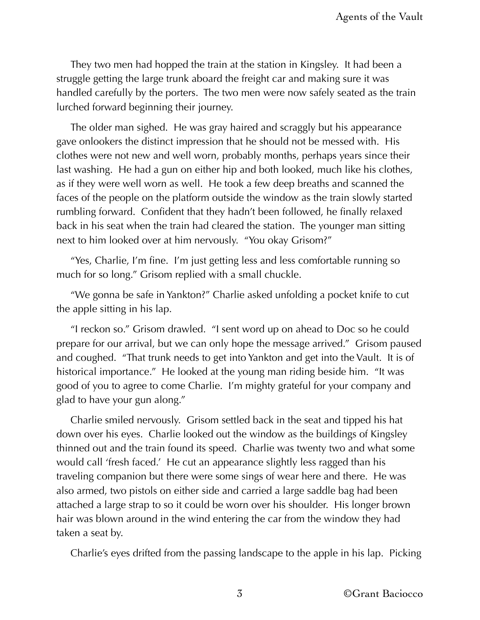They two men had hopped the train at the station in Kingsley. It had been a struggle getting the large trunk aboard the freight car and making sure it was handled carefully by the porters. The two men were now safely seated as the train lurched forward beginning their journey.

The older man sighed. He was gray haired and scraggly but his appearance gave onlookers the distinct impression that he should not be messed with. His clothes were not new and well worn, probably months, perhaps years since their last washing. He had a gun on either hip and both looked, much like his clothes, as if they were well worn as well. He took a few deep breaths and scanned the faces of the people on the platform outside the window as the train slowly started rumbling forward. Confident that they hadn't been followed, he finally relaxed back in his seat when the train had cleared the station. The younger man sitting next to him looked over at him nervously. "You okay Grisom?"

"Yes, Charlie, I'm fine. I'm just getting less and less comfortable running so much for so long." Grisom replied with a small chuckle.

"We gonna be safe in Yankton?" Charlie asked unfolding a pocket knife to cut the apple sitting in his lap.

"I reckon so." Grisom drawled. "I sent word up on ahead to Doc so he could prepare for our arrival, but we can only hope the message arrived." Grisom paused and coughed. "That trunk needs to get into Yankton and get into the Vault. It is of historical importance." He looked at the young man riding beside him. "It was good of you to agree to come Charlie. I'm mighty grateful for your company and glad to have your gun along."

Charlie smiled nervously. Grisom settled back in the seat and tipped his hat down over his eyes. Charlie looked out the window as the buildings of Kingsley thinned out and the train found its speed. Charlie was twenty two and what some would call 'fresh faced.' He cut an appearance slightly less ragged than his traveling companion but there were some sings of wear here and there. He was also armed, two pistols on either side and carried a large saddle bag had been attached a large strap to so it could be worn over his shoulder. His longer brown hair was blown around in the wind entering the car from the window they had taken a seat by.

Charlie's eyes drifted from the passing landscape to the apple in his lap. Picking